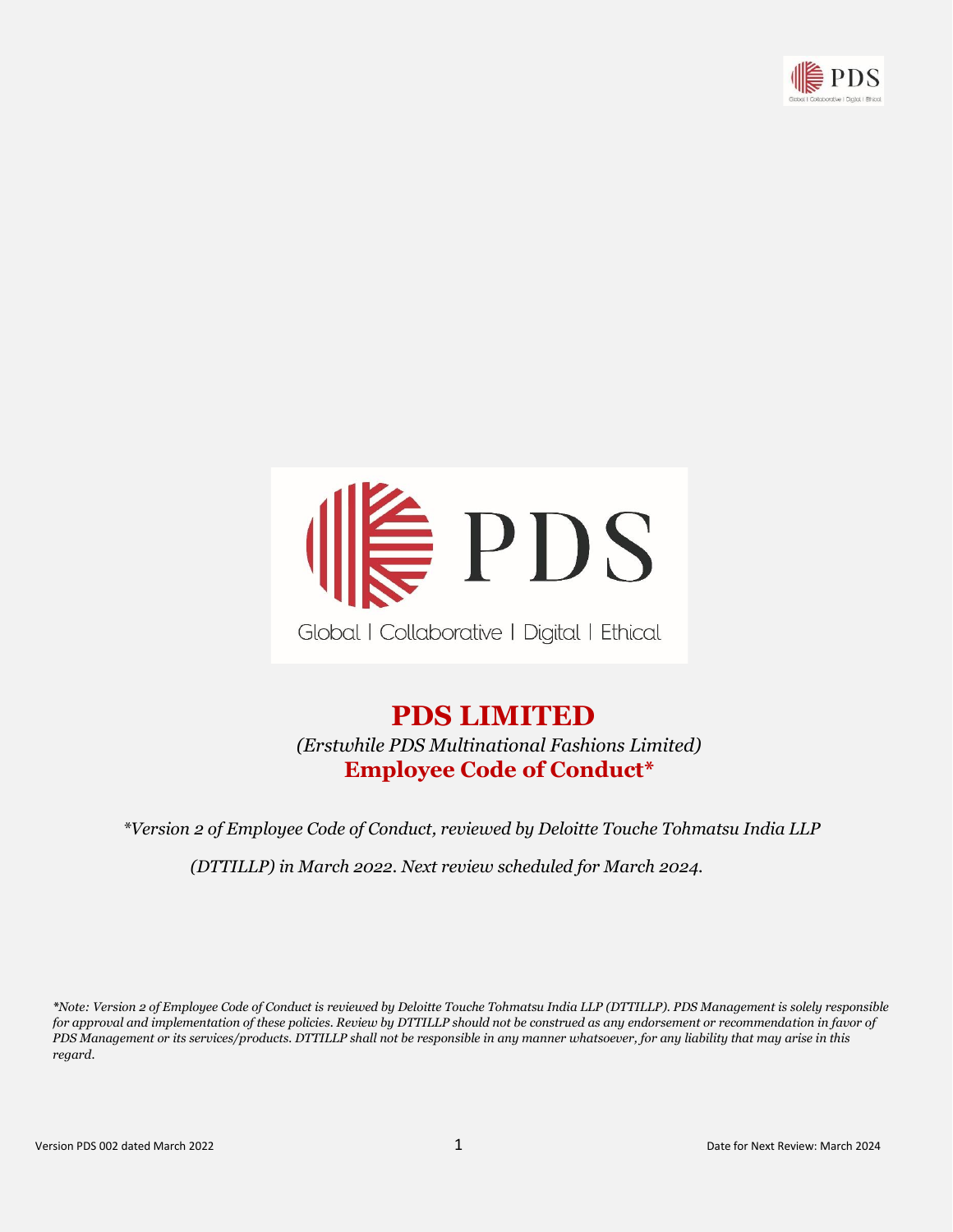



# **PDS LIMITED**

 *(Erstwhile PDS Multinational Fashions Limited)*  **Employee Code of Conduct\***

 *\*Version 2 of Employee Code of Conduct, reviewed by Deloitte Touche Tohmatsu India LLP*

*(DTTILLP) in March 2022. Next review scheduled for March 2024.*

*\*Note: Version 2 of Employee Code of Conduct is reviewed by Deloitte Touche Tohmatsu India LLP (DTTILLP). PDS Management is solely responsible*  for approval and implementation of these policies. Review by DTTILLP should not be construed as any endorsement or recommendation in favor of *PDS Management or its services/products. DTTILLP shall not be responsible in any manner whatsoever, for any liability that may arise in this regard.*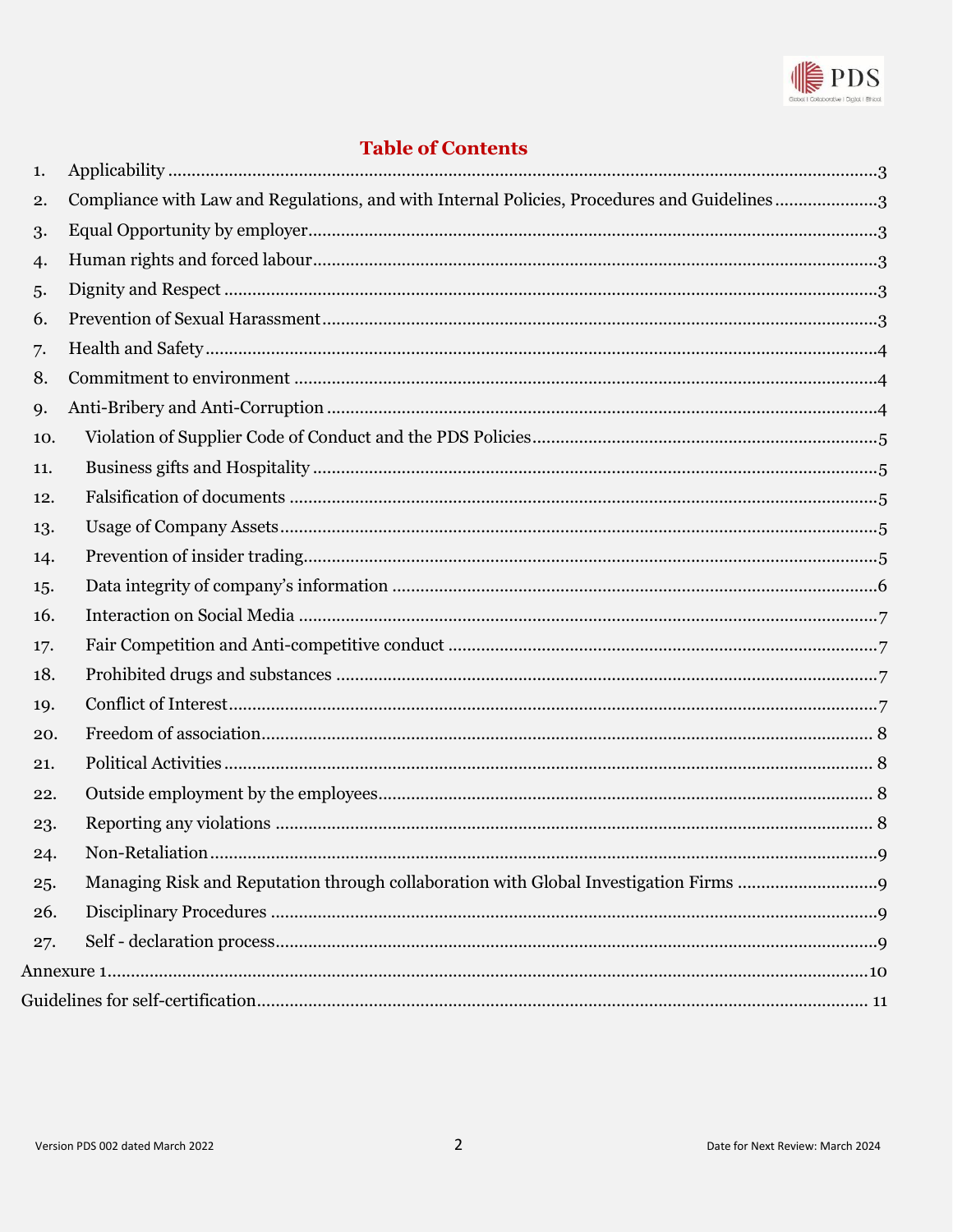

## **Table of Contents**

| 1.  |                                                                                             |  |
|-----|---------------------------------------------------------------------------------------------|--|
| 2.  | Compliance with Law and Regulations, and with Internal Policies, Procedures and Guidelines3 |  |
| 3.  |                                                                                             |  |
| 4.  |                                                                                             |  |
| 5.  |                                                                                             |  |
| 6.  |                                                                                             |  |
| 7.  |                                                                                             |  |
| 8.  |                                                                                             |  |
| 9.  |                                                                                             |  |
| 10. |                                                                                             |  |
| 11. |                                                                                             |  |
| 12. |                                                                                             |  |
| 13. |                                                                                             |  |
| 14. |                                                                                             |  |
| 15. |                                                                                             |  |
| 16. |                                                                                             |  |
| 17. |                                                                                             |  |
| 18. |                                                                                             |  |
| 19. |                                                                                             |  |
| 20. |                                                                                             |  |
| 21. |                                                                                             |  |
| 22. |                                                                                             |  |
| 23. |                                                                                             |  |
| 24. |                                                                                             |  |
| 25. |                                                                                             |  |
| 26. |                                                                                             |  |
| 27. |                                                                                             |  |
|     |                                                                                             |  |
|     |                                                                                             |  |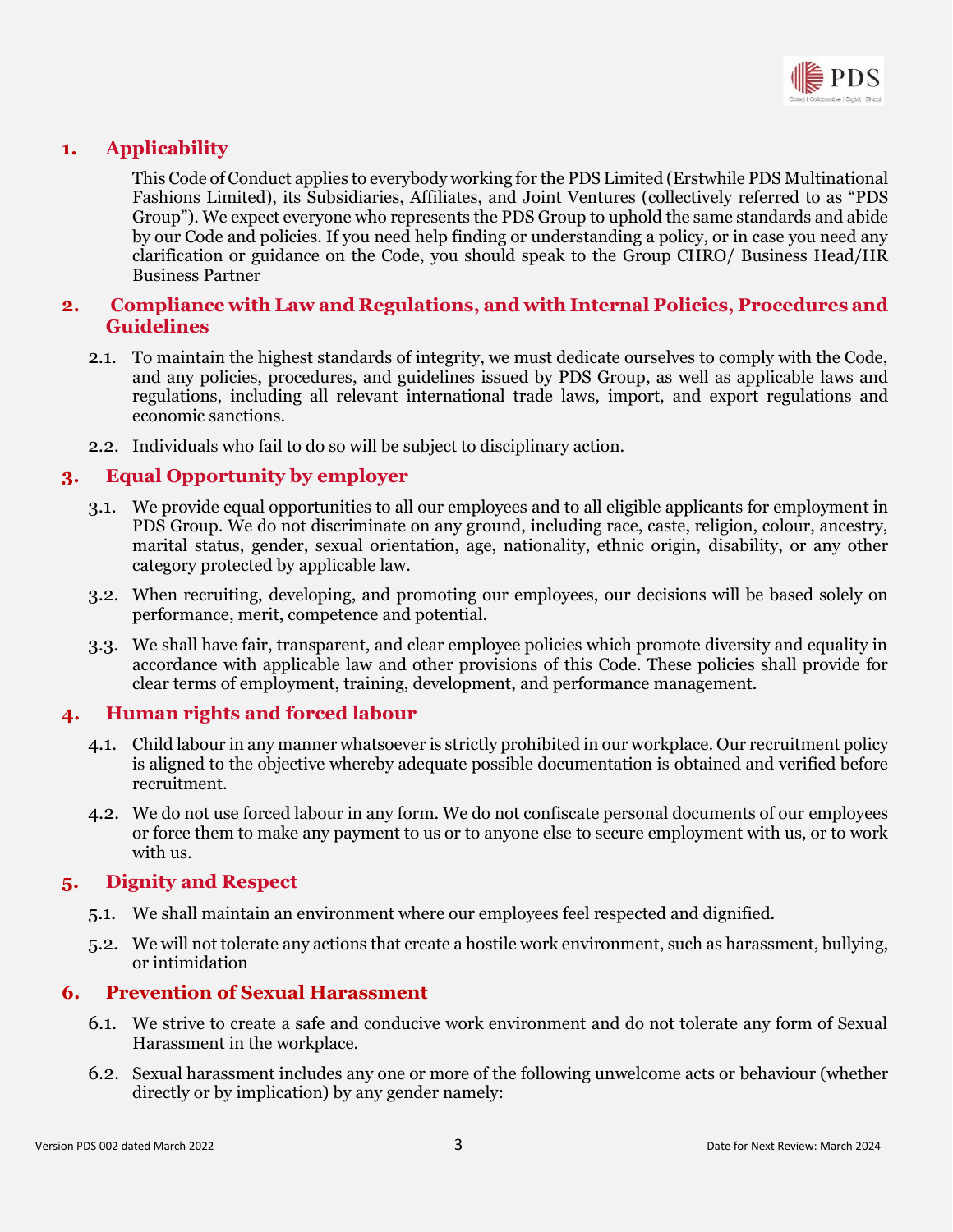

## <span id="page-2-0"></span>**1. Applicability**

This Code of Conduct applies to everybody working for the PDS Limited (Erstwhile PDS Multinational Fashions Limited), its Subsidiaries, Affiliates, and Joint Ventures (collectively referred to as "PDS Group"). We expect everyone who represents the PDS Group to uphold the same standards and abide by our Code and policies. If you need help finding or understanding a policy, or in case you need any clarification or guidance on the Code, you should speak to the Group CHRO/ Business Head/HR Business Partner

#### <span id="page-2-1"></span>**2. Compliance with Law and Regulations, and with Internal Policies, Procedures and Guidelines**

- 2.1. To maintain the highest standards of integrity, we must dedicate ourselves to comply with the Code, and any policies, procedures, and guidelines issued by PDS Group, as well as applicable laws and regulations, including all relevant international trade laws, import, and export regulations and economic sanctions.
- 2.2. Individuals who fail to do so will be subject to disciplinary action.

## <span id="page-2-2"></span>**3. Equal Opportunity by employer**

- 3.1. We provide equal opportunities to all our employees and to all eligible applicants for employment in PDS Group. We do not discriminate on any ground, including race, caste, religion, colour, ancestry, marital status, gender, sexual orientation, age, nationality, ethnic origin, disability, or any other category protected by applicable law.
- 3.2. When recruiting, developing, and promoting our employees, our decisions will be based solely on performance, merit, competence and potential.
- 3.3. We shall have fair, transparent, and clear employee policies which promote diversity and equality in accordance with applicable law and other provisions of this Code. These policies shall provide for clear terms of employment, training, development, and performance management.

#### <span id="page-2-3"></span>**4. Human rights and forced labour**

- 4.1. Child labour in any manner whatsoever is strictly prohibited in our workplace. Our recruitment policy is aligned to the objective whereby adequate possible documentation is obtained and verified before recruitment.
- 4.2. We do not use forced labour in any form. We do not confiscate personal documents of our employees or force them to make any payment to us or to anyone else to secure employment with us, or to work with us.

#### <span id="page-2-4"></span>**5. Dignity and Respect**

- 5.1. We shall maintain an environment where our employees feel respected and dignified.
- 5.2. We will not tolerate any actions that create a hostile work environment, such as harassment, bullying, or intimidation

#### <span id="page-2-5"></span>**6. Prevention of Sexual Harassment**

- 6.1. We strive to create a safe and conducive work environment and do not tolerate any form of Sexual Harassment in the workplace.
- 6.2. Sexual harassment includes any one or more of the following unwelcome acts or behaviour (whether directly or by implication) by any gender namely: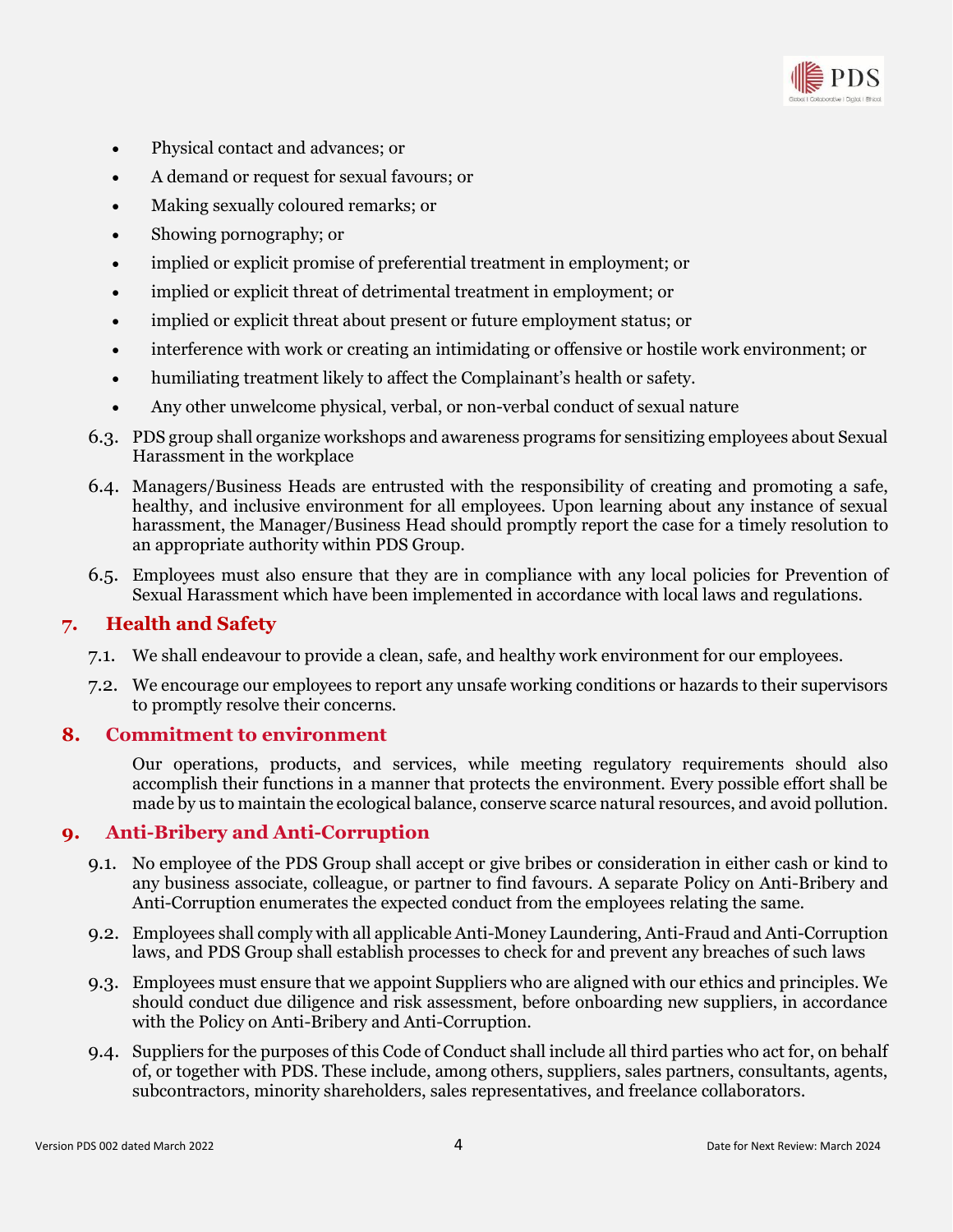

- Physical contact and advances; or
- A demand or request for sexual favours; or
- Making sexually coloured remarks; or
- Showing pornography; or
- implied or explicit promise of preferential treatment in employment; or
- implied or explicit threat of detrimental treatment in employment; or
- implied or explicit threat about present or future employment status; or
- interference with work or creating an intimidating or offensive or hostile work environment; or
- humiliating treatment likely to affect the Complainant's health or safety.
- Any other unwelcome physical, verbal, or non-verbal conduct of sexual nature
- 6.3. PDS group shall organize workshops and awareness programs for sensitizing employees about Sexual Harassment in the workplace
- 6.4. Managers/Business Heads are entrusted with the responsibility of creating and promoting a safe, healthy, and inclusive environment for all employees. Upon learning about any instance of sexual harassment, the Manager/Business Head should promptly report the case for a timely resolution to an appropriate authority within PDS Group.
- 6.5. Employees must also ensure that they are in compliance with any local policies for Prevention of Sexual Harassment which have been implemented in accordance with local laws and regulations.

#### <span id="page-3-0"></span>**7. Health and Safety**

- 7.1. We shall endeavour to provide a clean, safe, and healthy work environment for our employees.
- 7.2. We encourage our employees to report any unsafe working conditions or hazards to their supervisors to promptly resolve their concerns.

#### <span id="page-3-1"></span>**8. Commitment to environment**

Our operations, products, and services, while meeting regulatory requirements should also accomplish their functions in a manner that protects the environment. Every possible effort shall be made by us to maintain the ecological balance, conserve scarce natural resources, and avoid pollution.

#### <span id="page-3-2"></span>**9. Anti-Bribery and Anti-Corruption**

- 9.1. No employee of the PDS Group shall accept or give bribes or consideration in either cash or kind to any business associate, colleague, or partner to find favours. A separate Policy on Anti-Bribery and Anti-Corruption enumerates the expected conduct from the employees relating the same.
- 9.2. Employees shall comply with all applicable Anti-Money Laundering, Anti-Fraud and Anti-Corruption laws, and PDS Group shall establish processes to check for and prevent any breaches of such laws
- 9.3. Employees must ensure that we appoint Suppliers who are aligned with our ethics and principles. We should conduct due diligence and risk assessment, before onboarding new suppliers, in accordance with the Policy on Anti-Bribery and Anti-Corruption.
- 9.4. Suppliers for the purposes of this Code of Conduct shall include all third parties who act for, on behalf of, or together with PDS. These include, among others, suppliers, sales partners, consultants, agents, subcontractors, minority shareholders, sales representatives, and freelance collaborators.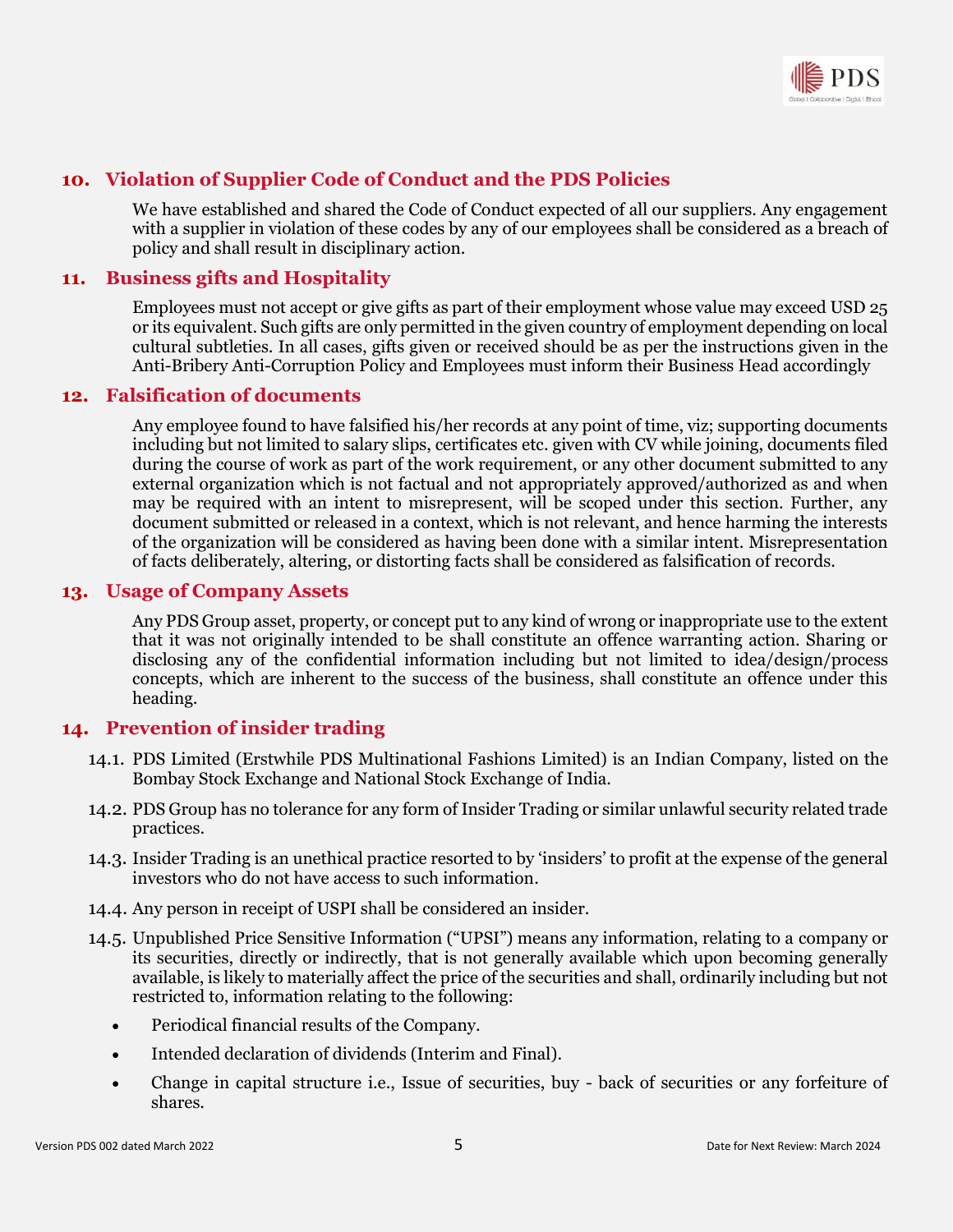

## <span id="page-4-0"></span>**10. Violation of Supplier Code of Conduct and the PDS Policies**

We have established and shared the Code of Conduct expected of all our suppliers. Any engagement with a supplier in violation of these codes by any of our employees shall be considered as a breach of policy and shall result in disciplinary action.

## <span id="page-4-1"></span>**11. Business gifts and Hospitality**

Employees must not accept or give gifts as part of their employment whose value may exceed USD 25 or its equivalent. Such gifts are only permitted in the given country of employment depending on local cultural subtleties. In all cases, gifts given or received should be as per the instructions given in the Anti-Bribery Anti-Corruption Policy and Employees must inform their Business Head accordingly

#### <span id="page-4-2"></span>**12. Falsification of documents**

Any employee found to have falsified his/her records at any point of time, viz; supporting documents including but not limited to salary slips, certificates etc. given with CV while joining, documents filed during the course of work as part of the work requirement, or any other document submitted to any external organization which is not factual and not appropriately approved/authorized as and when may be required with an intent to misrepresent, will be scoped under this section. Further, any document submitted or released in a context, which is not relevant, and hence harming the interests of the organization will be considered as having been done with a similar intent. Misrepresentation of facts deliberately, altering, or distorting facts shall be considered as falsification of records.

#### <span id="page-4-3"></span>**13. Usage of Company Assets**

Any PDS Group asset, property, or concept put to any kind of wrong or inappropriate use to the extent that it was not originally intended to be shall constitute an offence warranting action. Sharing or disclosing any of the confidential information including but not limited to idea/design/process concepts, which are inherent to the success of the business, shall constitute an offence under this heading.

#### <span id="page-4-4"></span>**14. Prevention of insider trading**

- 14.1. PDS Limited (Erstwhile PDS Multinational Fashions Limited) is an Indian Company, listed on the Bombay Stock Exchange and National Stock Exchange of India.
- 14.2. PDS Group has no tolerance for any form of Insider Trading or similar unlawful security related trade practices.
- 14.3. Insider Trading is an unethical practice resorted to by 'insiders' to profit at the expense of the general investors who do not have access to such information.
- 14.4. Any person in receipt of USPI shall be considered an insider.
- 14.5. Unpublished Price Sensitive Information ("UPSI") means any information, relating to a company or its securities, directly or indirectly, that is not generally available which upon becoming generally available, is likely to materially affect the price of the securities and shall, ordinarily including but not restricted to, information relating to the following:
	- Periodical financial results of the Company.
	- Intended declaration of dividends (Interim and Final).
	- Change in capital structure i.e., Issue of securities, buy back of securities or any forfeiture of shares.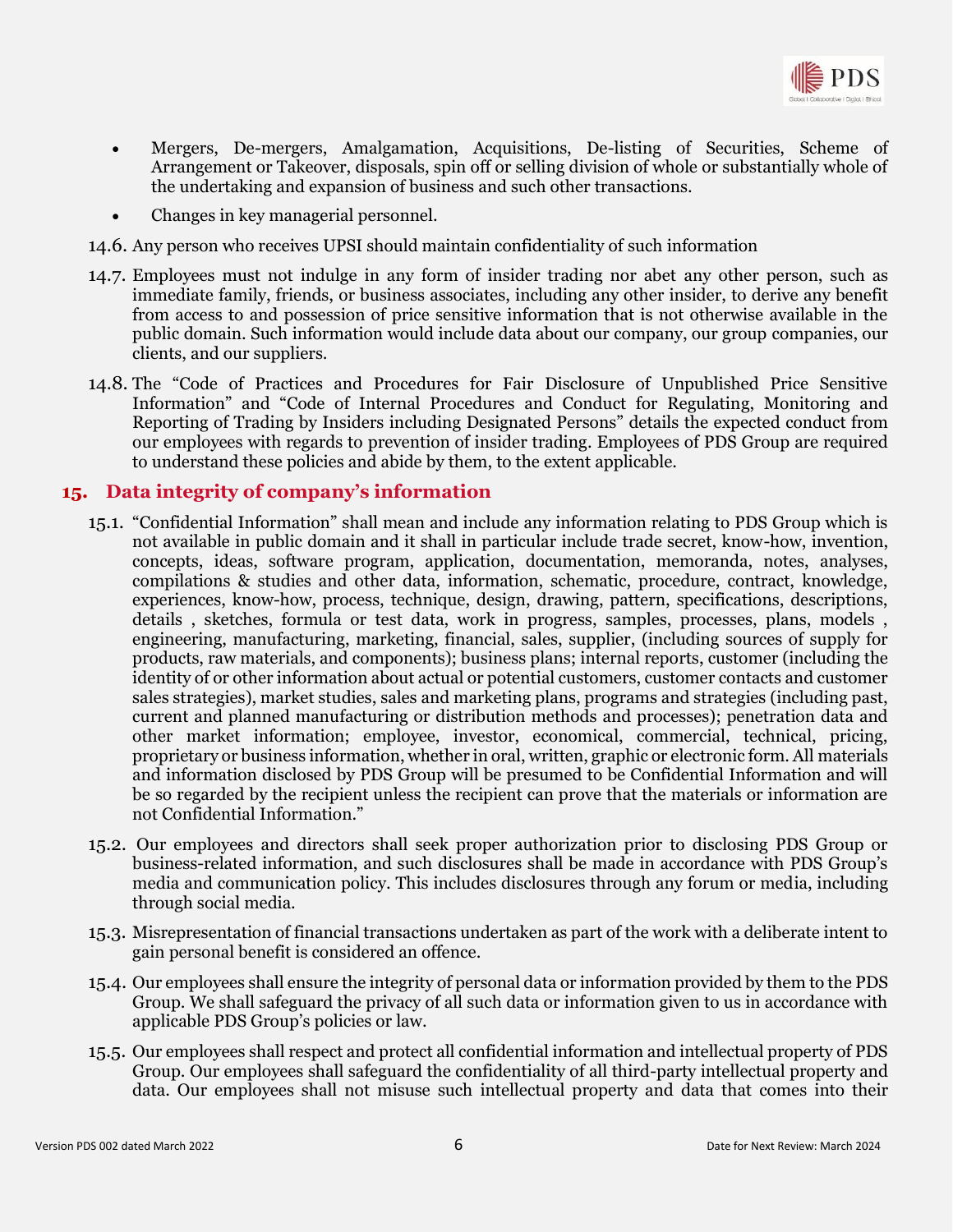

- Mergers, De-mergers, Amalgamation, Acquisitions, De-listing of Securities, Scheme of Arrangement or Takeover, disposals, spin off or selling division of whole or substantially whole of the undertaking and expansion of business and such other transactions.
- Changes in key managerial personnel.
- 14.6. Any person who receives UPSI should maintain confidentiality of such information
- 14.7. Employees must not indulge in any form of insider trading nor abet any other person, such as immediate family, friends, or business associates, including any other insider, to derive any benefit from access to and possession of price sensitive information that is not otherwise available in the public domain. Such information would include data about our company, our group companies, our clients, and our suppliers.
- 14.8. The "Code of Practices and Procedures for Fair Disclosure of Unpublished Price Sensitive Information" and "Code of Internal Procedures and Conduct for Regulating, Monitoring and Reporting of Trading by Insiders including Designated Persons" details the expected conduct from our employees with regards to prevention of insider trading. Employees of PDS Group are required to understand these policies and abide by them, to the extent applicable.

#### <span id="page-5-0"></span>**15. Data integrity of company's information**

- 15.1. "Confidential Information" shall mean and include any information relating to PDS Group which is not available in public domain and it shall in particular include trade secret, know-how, invention, concepts, ideas, software program, application, documentation, memoranda, notes, analyses, compilations & studies and other data, information, schematic, procedure, contract, knowledge, experiences, know-how, process, technique, design, drawing, pattern, specifications, descriptions, details , sketches, formula or test data, work in progress, samples, processes, plans, models , engineering, manufacturing, marketing, financial, sales, supplier, (including sources of supply for products, raw materials, and components); business plans; internal reports, customer (including the identity of or other information about actual or potential customers, customer contacts and customer sales strategies), market studies, sales and marketing plans, programs and strategies (including past, current and planned manufacturing or distribution methods and processes); penetration data and other market information; employee, investor, economical, commercial, technical, pricing, proprietary or business information, whether in oral, written, graphic or electronic form. All materials and information disclosed by PDS Group will be presumed to be Confidential Information and will be so regarded by the recipient unless the recipient can prove that the materials or information are not Confidential Information."
- 15.2. Our employees and directors shall seek proper authorization prior to disclosing PDS Group or business-related information, and such disclosures shall be made in accordance with PDS Group's media and communication policy. This includes disclosures through any forum or media, including through social media.
- 15.3. Misrepresentation of financial transactions undertaken as part of the work with a deliberate intent to gain personal benefit is considered an offence.
- 15.4. Our employees shall ensure the integrity of personal data or information provided by them to the PDS Group. We shall safeguard the privacy of all such data or information given to us in accordance with applicable PDS Group's policies or law.
- 15.5. Our employees shall respect and protect all confidential information and intellectual property of PDS Group. Our employees shall safeguard the confidentiality of all third-party intellectual property and data. Our employees shall not misuse such intellectual property and data that comes into their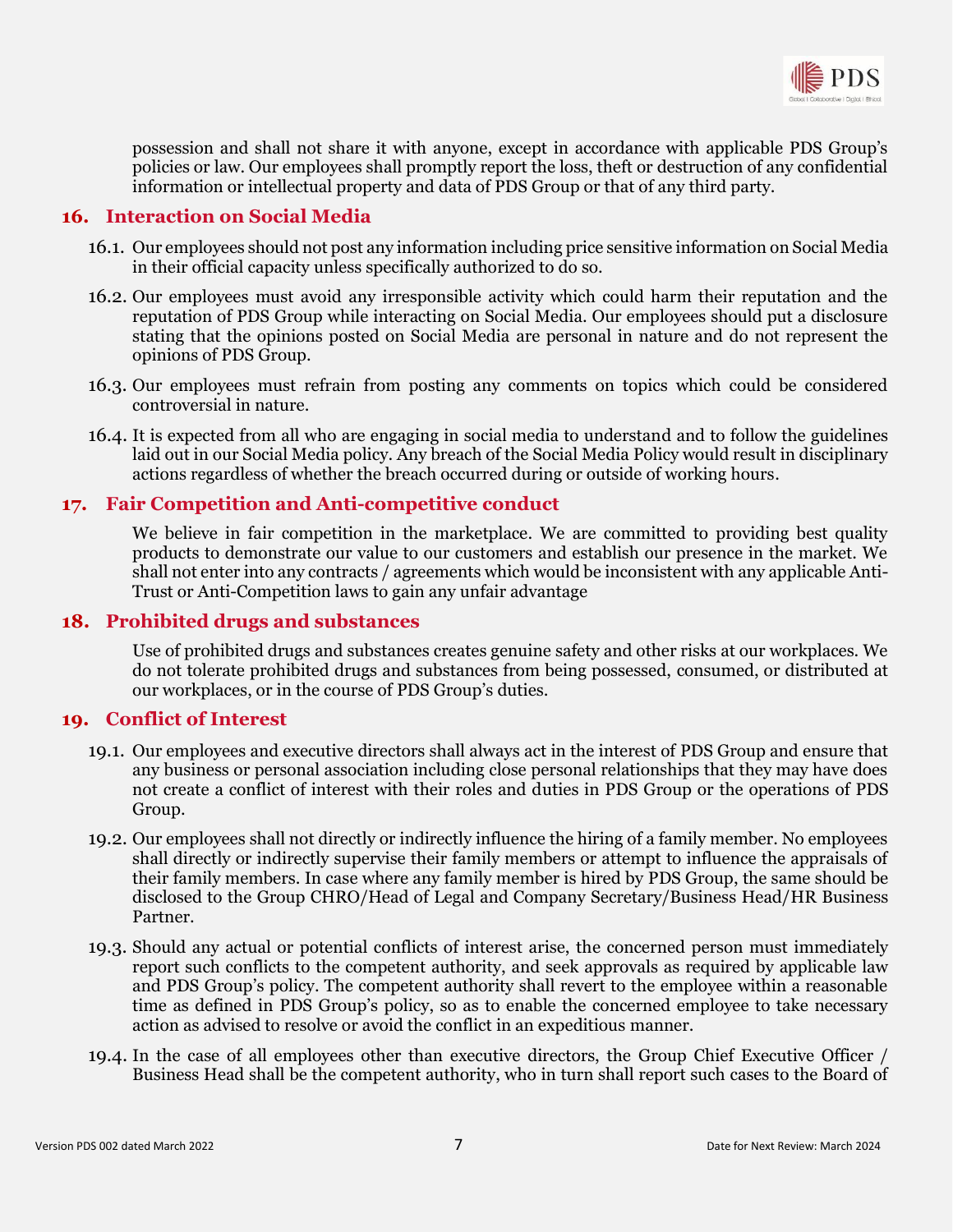

possession and shall not share it with anyone, except in accordance with applicable PDS Group's policies or law. Our employees shall promptly report the loss, theft or destruction of any confidential information or intellectual property and data of PDS Group or that of any third party.

#### <span id="page-6-0"></span>**16. Interaction on Social Media**

- 16.1. Our employees should not post any information including price sensitive information on Social Media in their official capacity unless specifically authorized to do so.
- 16.2. Our employees must avoid any irresponsible activity which could harm their reputation and the reputation of PDS Group while interacting on Social Media. Our employees should put a disclosure stating that the opinions posted on Social Media are personal in nature and do not represent the opinions of PDS Group.
- 16.3. Our employees must refrain from posting any comments on topics which could be considered controversial in nature.
- 16.4. It is expected from all who are engaging in social media to understand and to follow the guidelines laid out in our Social Media policy. Any breach of the Social Media Policy would result in disciplinary actions regardless of whether the breach occurred during or outside of working hours.

#### <span id="page-6-1"></span>**17. Fair Competition and Anti-competitive conduct**

We believe in fair competition in the marketplace. We are committed to providing best quality products to demonstrate our value to our customers and establish our presence in the market. We shall not enter into any contracts / agreements which would be inconsistent with any applicable Anti-Trust or Anti-Competition laws to gain any unfair advantage

#### <span id="page-6-2"></span>**18. Prohibited drugs and substances**

Use of prohibited drugs and substances creates genuine safety and other risks at our workplaces. We do not tolerate prohibited drugs and substances from being possessed, consumed, or distributed at our workplaces, or in the course of PDS Group's duties.

#### <span id="page-6-3"></span>**19. Conflict of Interest**

- 19.1. Our employees and executive directors shall always act in the interest of PDS Group and ensure that any business or personal association including close personal relationships that they may have does not create a conflict of interest with their roles and duties in PDS Group or the operations of PDS Group.
- 19.2. Our employees shall not directly or indirectly influence the hiring of a family member. No employees shall directly or indirectly supervise their family members or attempt to influence the appraisals of their family members. In case where any family member is hired by PDS Group, the same should be disclosed to the Group CHRO/Head of Legal and Company Secretary/Business Head/HR Business Partner.
- 19.3. Should any actual or potential conflicts of interest arise, the concerned person must immediately report such conflicts to the competent authority, and seek approvals as required by applicable law and PDS Group's policy. The competent authority shall revert to the employee within a reasonable time as defined in PDS Group's policy, so as to enable the concerned employee to take necessary action as advised to resolve or avoid the conflict in an expeditious manner.
- 19.4. In the case of all employees other than executive directors, the Group Chief Executive Officer / Business Head shall be the competent authority, who in turn shall report such cases to the Board of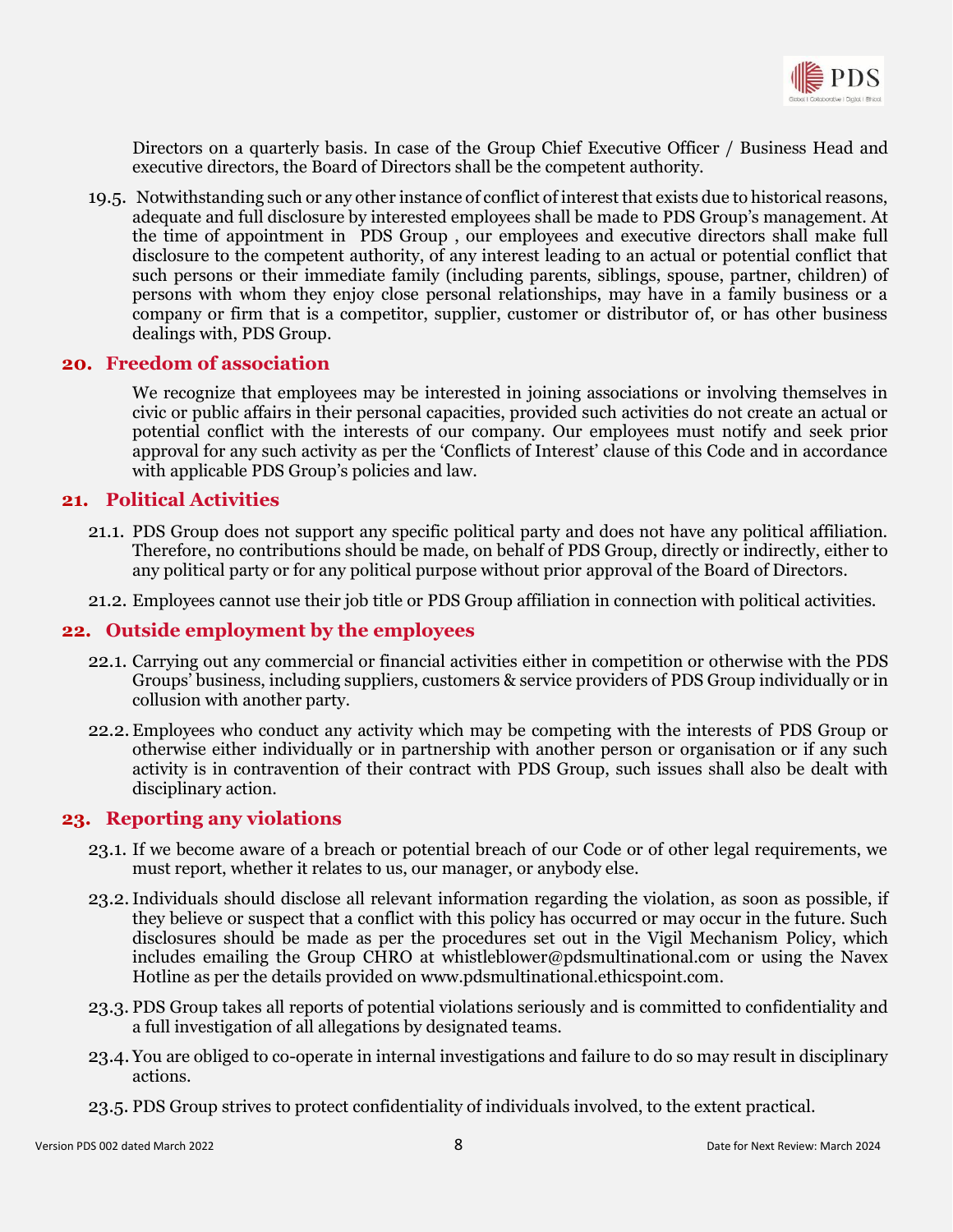

Directors on a quarterly basis. In case of the Group Chief Executive Officer / Business Head and executive directors, the Board of Directors shall be the competent authority.

19.5. Notwithstanding such or any other instance of conflict of interest that exists due to historical reasons, adequate and full disclosure by interested employees shall be made to PDS Group's management. At the time of appointment in PDS Group , our employees and executive directors shall make full disclosure to the competent authority, of any interest leading to an actual or potential conflict that such persons or their immediate family (including parents, siblings, spouse, partner, children) of persons with whom they enjoy close personal relationships, may have in a family business or a company or firm that is a competitor, supplier, customer or distributor of, or has other business dealings with, PDS Group.

## <span id="page-7-0"></span>**20. Freedom of association**

We recognize that employees may be interested in joining associations or involving themselves in civic or public affairs in their personal capacities, provided such activities do not create an actual or potential conflict with the interests of our company. Our employees must notify and seek prior approval for any such activity as per the 'Conflicts of Interest' clause of this Code and in accordance with applicable PDS Group's policies and law.

#### <span id="page-7-1"></span>**21. Political Activities**

- 21.1. PDS Group does not support any specific political party and does not have any political affiliation. Therefore, no contributions should be made, on behalf of PDS Group, directly or indirectly, either to any political party or for any political purpose without prior approval of the Board of Directors.
- 21.2. Employees cannot use their job title or PDS Group affiliation in connection with political activities.

#### <span id="page-7-2"></span>**22. Outside employment by the employees**

- 22.1. Carrying out any commercial or financial activities either in competition or otherwise with the PDS Groups' business, including suppliers, customers & service providers of PDS Group individually or in collusion with another party.
- 22.2. Employees who conduct any activity which may be competing with the interests of PDS Group or otherwise either individually or in partnership with another person or organisation or if any such activity is in contravention of their contract with PDS Group, such issues shall also be dealt with disciplinary action.

#### <span id="page-7-3"></span>**23. Reporting any violations**

- 23.1. If we become aware of a breach or potential breach of our Code or of other legal requirements, we must report, whether it relates to us, our manager, or anybody else.
- 23.2.Individuals should disclose all relevant information regarding the violation, as soon as possible, if they believe or suspect that a conflict with this policy has occurred or may occur in the future. Such disclosures should be made as per the procedures set out in the Vigil Mechanism Policy, which includes emailing the Group CHRO at whistleblower@pdsmultinational.com or using the Navex Hotline as per the details provided on [www.pdsmultinational.ethicspoint.com.](http://www.pdsmultinational.ethicspoint.com/)
- 23.3. PDS Group takes all reports of potential violations seriously and is committed to confidentiality and a full investigation of all allegations by designated teams.
- 23.4. You are obliged to co-operate in internal investigations and failure to do so may result in disciplinary actions.
- 23.5. PDS Group strives to protect confidentiality of individuals involved, to the extent practical.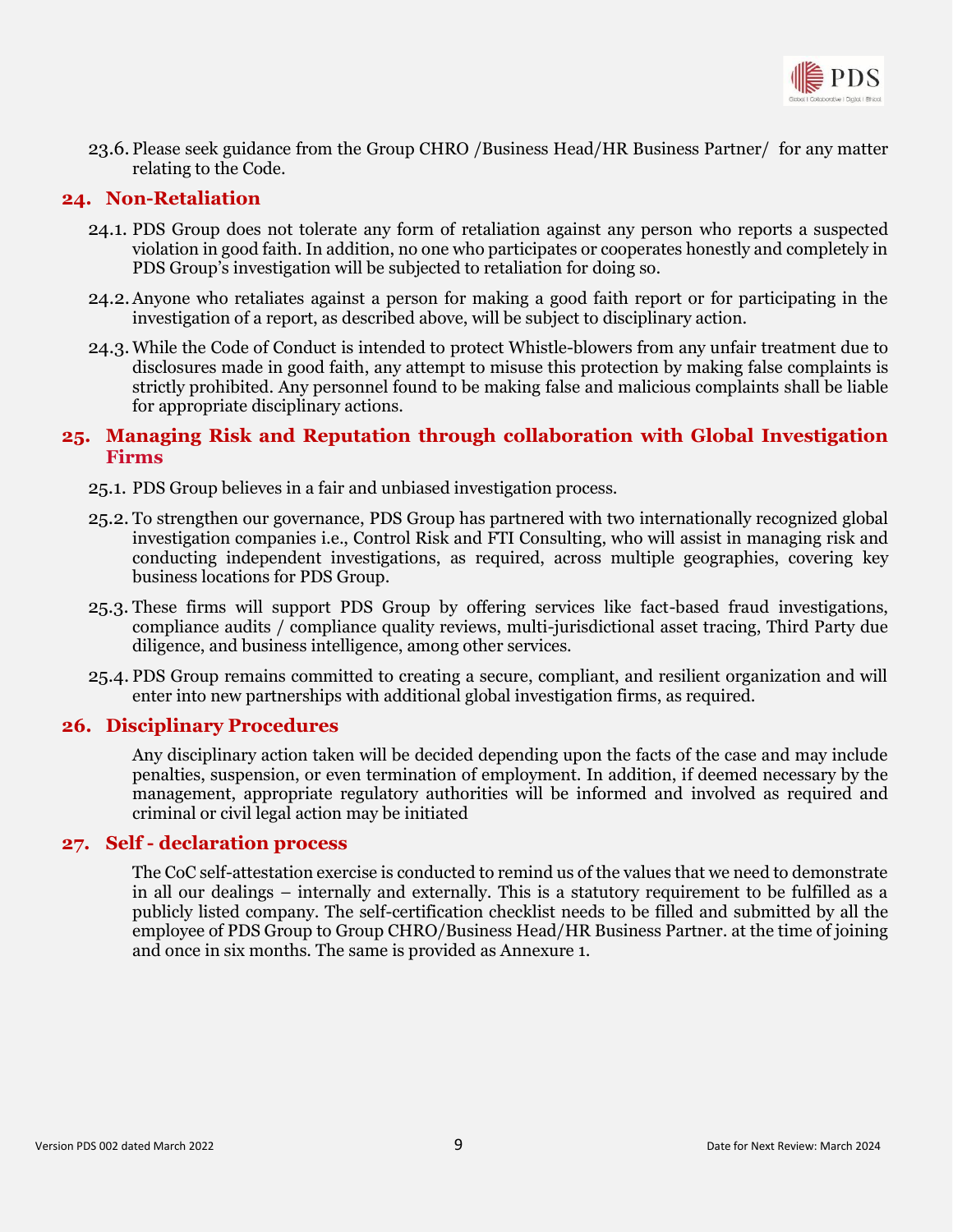

23.6. Please seek guidance from the Group CHRO /Business Head/HR Business Partner/ for any matter relating to the Code.

## <span id="page-8-0"></span>**24. Non-Retaliation**

- 24.1. PDS Group does not tolerate any form of retaliation against any person who reports a suspected violation in good faith. In addition, no one who participates or cooperates honestly and completely in PDS Group's investigation will be subjected to retaliation for doing so.
- 24.2.Anyone who retaliates against a person for making a good faith report or for participating in the investigation of a report, as described above, will be subject to disciplinary action.
- 24.3. While the Code of Conduct is intended to protect Whistle-blowers from any unfair treatment due to disclosures made in good faith, any attempt to misuse this protection by making false complaints is strictly prohibited. Any personnel found to be making false and malicious complaints shall be liable for appropriate disciplinary actions.

## <span id="page-8-1"></span>**25. Managing Risk and Reputation through collaboration with Global Investigation Firms**

- 25.1. PDS Group believes in a fair and unbiased investigation process.
- 25.2. To strengthen our governance, PDS Group has partnered with two internationally recognized global investigation companies i.e., Control Risk and FTI Consulting, who will assist in managing risk and conducting independent investigations, as required, across multiple geographies, covering key business locations for PDS Group.
- 25.3. These firms will support PDS Group by offering services like fact-based fraud investigations, compliance audits / compliance quality reviews, multi-jurisdictional asset tracing, Third Party due diligence, and business intelligence, among other services.
- 25.4. PDS Group remains committed to creating a secure, compliant, and resilient organization and will enter into new partnerships with additional global investigation firms, as required.

#### <span id="page-8-2"></span>**26. Disciplinary Procedures**

Any disciplinary action taken will be decided depending upon the facts of the case and may include penalties, suspension, or even termination of employment. In addition, if deemed necessary by the management, appropriate regulatory authorities will be informed and involved as required and criminal or civil legal action may be initiated

#### <span id="page-8-3"></span>**27. Self - declaration process**

The CoC self-attestation exercise is conducted to remind us of the values that we need to demonstrate in all our dealings – internally and externally. This is a statutory requirement to be fulfilled as a publicly listed company. The self-certification checklist needs to be filled and submitted by all the employee of PDS Group to Group CHRO/Business Head/HR Business Partner. at the time of joining and once in six months. The same is provided as Annexure 1.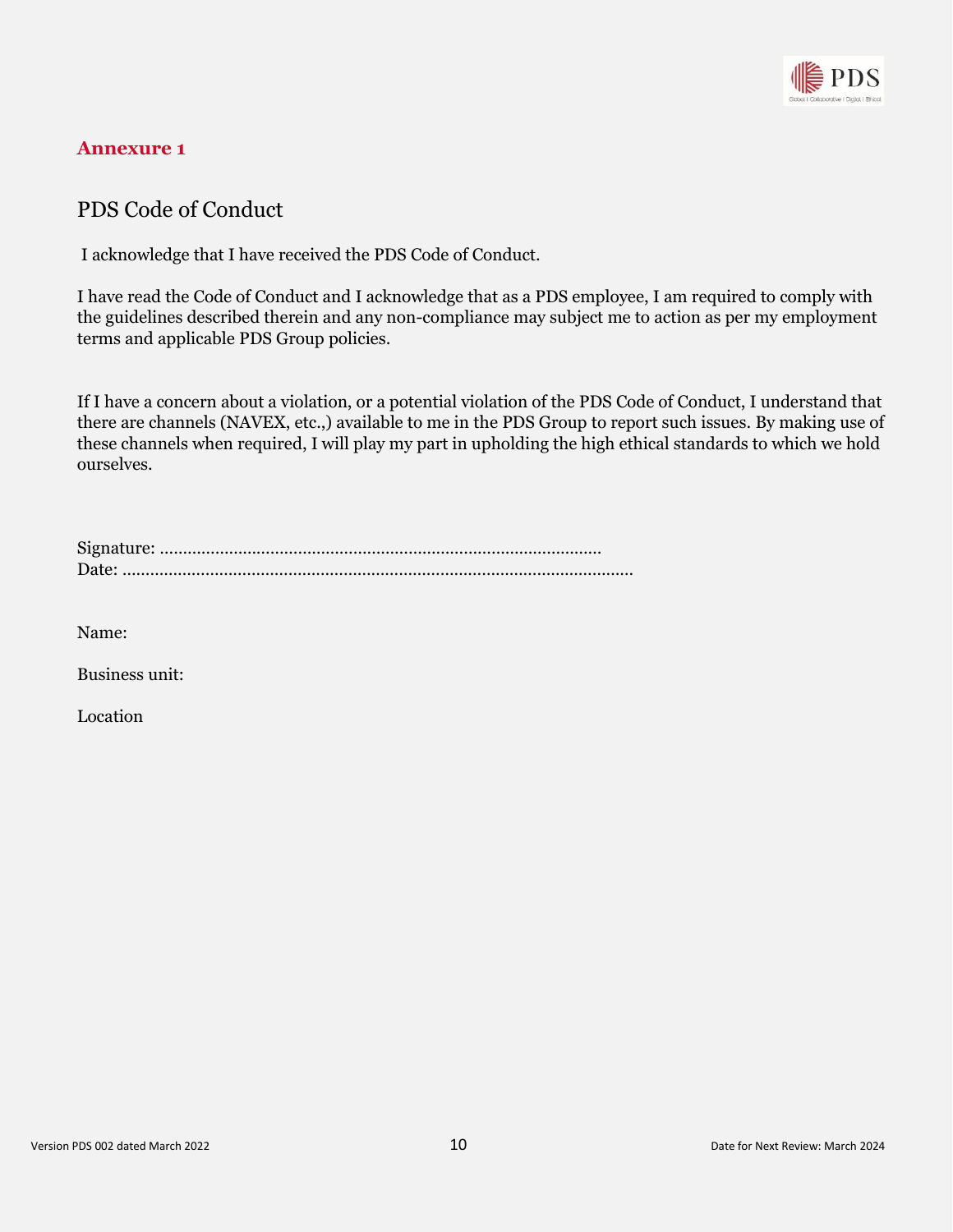

## <span id="page-9-0"></span>**Annexure 1**

## PDS Code of Conduct

I acknowledge that I have received the PDS Code of Conduct.

I have read the Code of Conduct and I acknowledge that as a PDS employee, I am required to comply with the guidelines described therein and any non-compliance may subject me to action as per my employment terms and applicable PDS Group policies.

If I have a concern about a violation, or a potential violation of the PDS Code of Conduct, I understand that there are channels (NAVEX, etc.,) available to me in the PDS Group to report such issues. By making use of these channels when required, I will play my part in upholding the high ethical standards to which we hold ourselves.

Name:

Business unit:

Location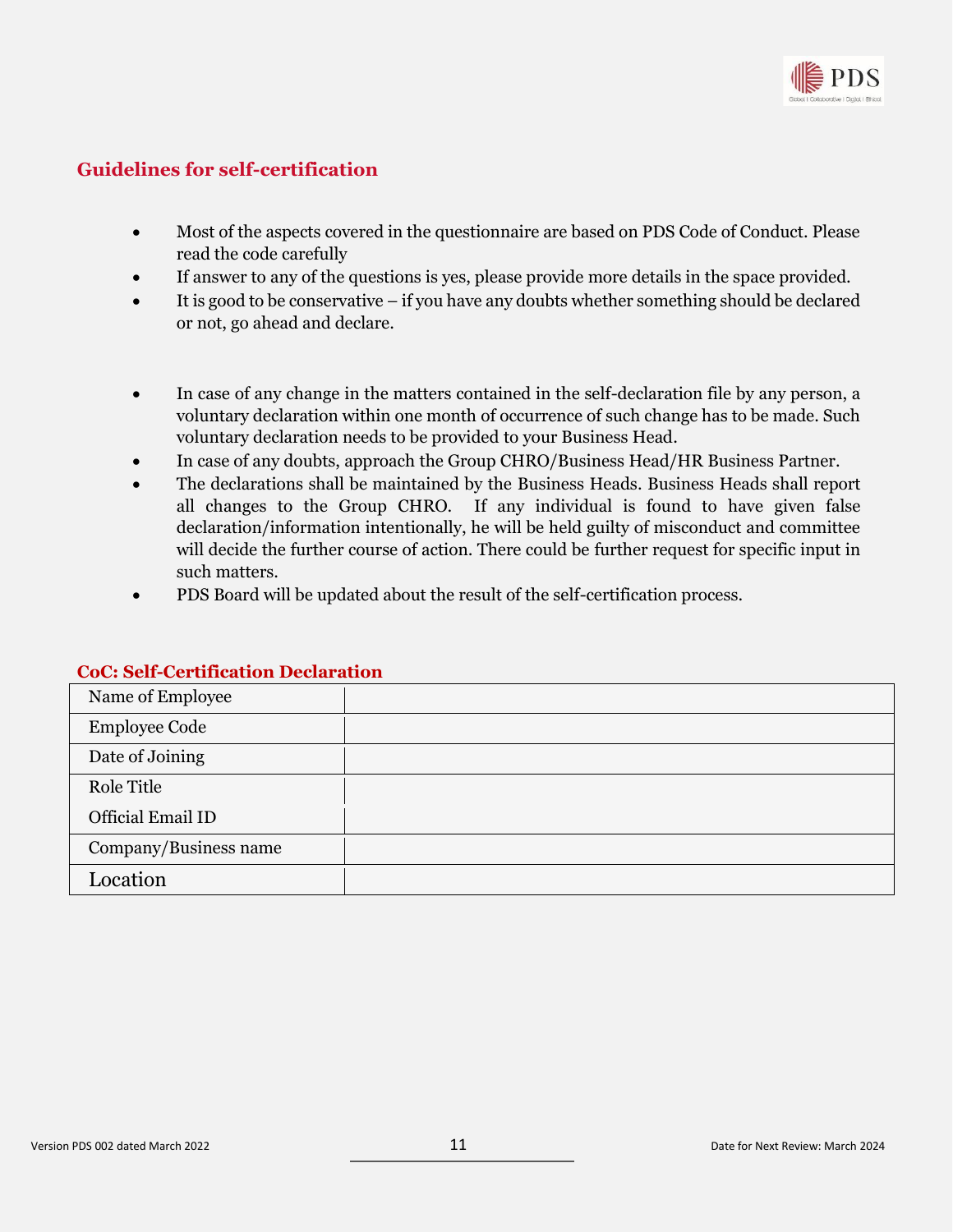

## <span id="page-10-0"></span>**Guidelines for self-certification**

- Most of the aspects covered in the questionnaire are based on PDS Code of Conduct. Please read the code carefully
- If answer to any of the questions is yes, please provide more details in the space provided.
- It is good to be conservative if you have any doubts whether something should be declared or not, go ahead and declare.
- In case of any change in the matters contained in the self-declaration file by any person, a voluntary declaration within one month of occurrence of such change has to be made. Such voluntary declaration needs to be provided to your Business Head.
- In case of any doubts, approach the Group CHRO/Business Head/HR Business Partner.
- The declarations shall be maintained by the Business Heads. Business Heads shall report all changes to the Group CHRO. If any individual is found to have given false declaration/information intentionally, he will be held guilty of misconduct and committee will decide the further course of action. There could be further request for specific input in such matters.
- PDS Board will be updated about the result of the self-certification process.

| Name of Employee      |  |
|-----------------------|--|
| <b>Employee Code</b>  |  |
| Date of Joining       |  |
| Role Title            |  |
| Official Email ID     |  |
| Company/Business name |  |
| Location              |  |

#### **CoC: Self-Certification Declaration**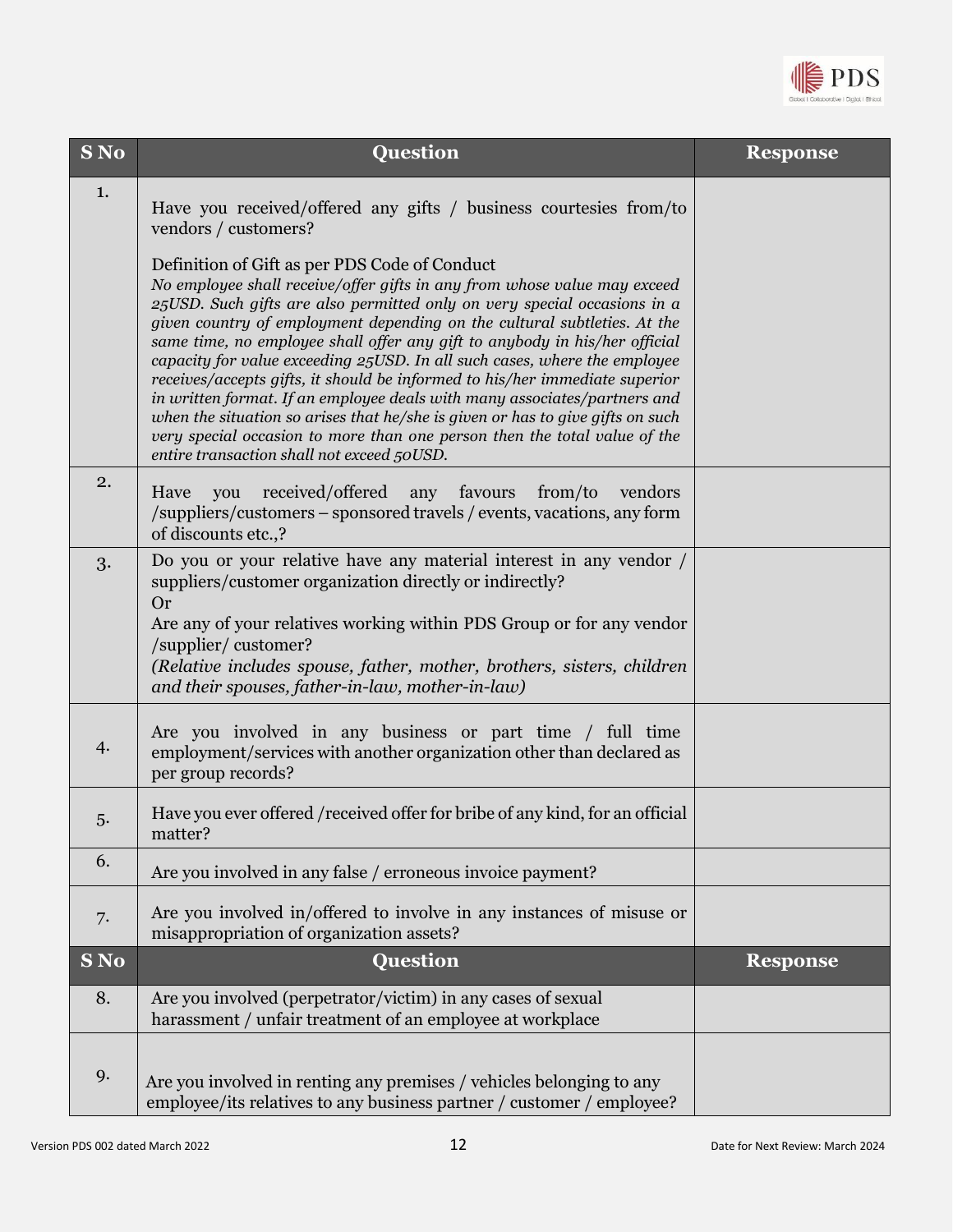

| S No | Question                                                                                                                                                                                                                                                                                                                                                                                                                                                                                                                                                                                                                                                                                                                                                                                                              | <b>Response</b> |
|------|-----------------------------------------------------------------------------------------------------------------------------------------------------------------------------------------------------------------------------------------------------------------------------------------------------------------------------------------------------------------------------------------------------------------------------------------------------------------------------------------------------------------------------------------------------------------------------------------------------------------------------------------------------------------------------------------------------------------------------------------------------------------------------------------------------------------------|-----------------|
| 1.   | Have you received/offered any gifts / business courtesies from/to<br>vendors / customers?                                                                                                                                                                                                                                                                                                                                                                                                                                                                                                                                                                                                                                                                                                                             |                 |
|      | Definition of Gift as per PDS Code of Conduct<br>No employee shall receive/offer gifts in any from whose value may exceed<br>25USD. Such gifts are also permitted only on very special occasions in a<br>given country of employment depending on the cultural subtleties. At the<br>same time, no employee shall offer any gift to anybody in his/her official<br>capacity for value exceeding 25USD. In all such cases, where the employee<br>receives/accepts gifts, it should be informed to his/her immediate superior<br>in written format. If an employee deals with many associates/partners and<br>when the situation so arises that he/she is given or has to give gifts on such<br>very special occasion to more than one person then the total value of the<br>entire transaction shall not exceed 50USD. |                 |
| 2.   | received/offered<br>any<br>favours<br>from/to<br>Have<br>you<br>vendors<br>/suppliers/customers – sponsored travels / events, vacations, any form<br>of discounts etc.,?                                                                                                                                                                                                                                                                                                                                                                                                                                                                                                                                                                                                                                              |                 |
| 3.   | Do you or your relative have any material interest in any vendor /<br>suppliers/customer organization directly or indirectly?<br><b>Or</b><br>Are any of your relatives working within PDS Group or for any vendor<br>/supplier/ customer?<br>(Relative includes spouse, father, mother, brothers, sisters, children<br>and their spouses, father-in-law, mother-in-law)                                                                                                                                                                                                                                                                                                                                                                                                                                              |                 |
| 4.   | Are you involved in any business or part time / full time<br>employment/services with another organization other than declared as<br>per group records?                                                                                                                                                                                                                                                                                                                                                                                                                                                                                                                                                                                                                                                               |                 |
| 5.   | Have you ever offered /received offer for bribe of any kind, for an official<br>matter?                                                                                                                                                                                                                                                                                                                                                                                                                                                                                                                                                                                                                                                                                                                               |                 |
| 6.   | Are you involved in any false / erroneous invoice payment?                                                                                                                                                                                                                                                                                                                                                                                                                                                                                                                                                                                                                                                                                                                                                            |                 |
| 7.   | Are you involved in/offered to involve in any instances of misuse or<br>misappropriation of organization assets?                                                                                                                                                                                                                                                                                                                                                                                                                                                                                                                                                                                                                                                                                                      |                 |
| S No | <b>Question</b>                                                                                                                                                                                                                                                                                                                                                                                                                                                                                                                                                                                                                                                                                                                                                                                                       | <b>Response</b> |
| 8.   | Are you involved (perpetrator/victim) in any cases of sexual<br>harassment / unfair treatment of an employee at workplace                                                                                                                                                                                                                                                                                                                                                                                                                                                                                                                                                                                                                                                                                             |                 |
| 9.   | Are you involved in renting any premises / vehicles belonging to any<br>employee/its relatives to any business partner / customer / employee?                                                                                                                                                                                                                                                                                                                                                                                                                                                                                                                                                                                                                                                                         |                 |